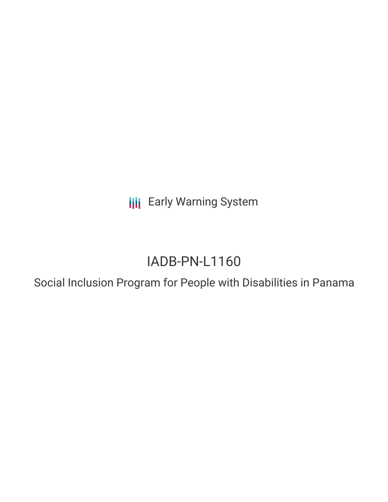**III** Early Warning System

# IADB-PN-L1160

Social Inclusion Program for People with Disabilities in Panama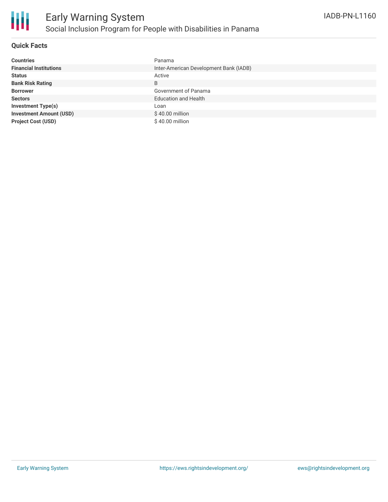

#### **Quick Facts**

| <b>Countries</b>               | Panama                                 |
|--------------------------------|----------------------------------------|
| <b>Financial Institutions</b>  | Inter-American Development Bank (IADB) |
| <b>Status</b>                  | Active                                 |
| <b>Bank Risk Rating</b>        | B                                      |
| <b>Borrower</b>                | Government of Panama                   |
| <b>Sectors</b>                 | <b>Education and Health</b>            |
| <b>Investment Type(s)</b>      | Loan                                   |
| <b>Investment Amount (USD)</b> | \$40.00 million                        |
| <b>Project Cost (USD)</b>      | $$40.00$ million                       |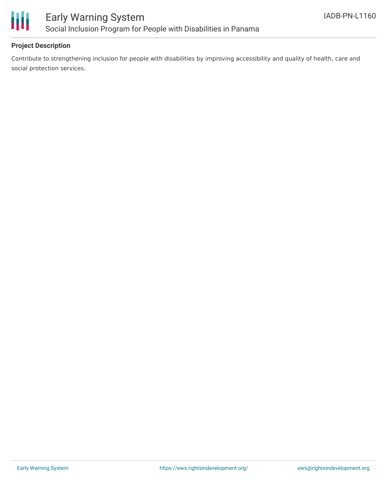

#### **Project Description**

Contribute to strengthening inclusion for people with disabilities by improving accessibility and quality of health, care and social protection services.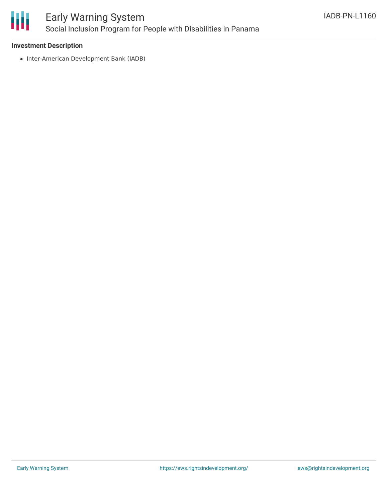

### Early Warning System Social Inclusion Program for People with Disabilities in Panama

#### **Investment Description**

• Inter-American Development Bank (IADB)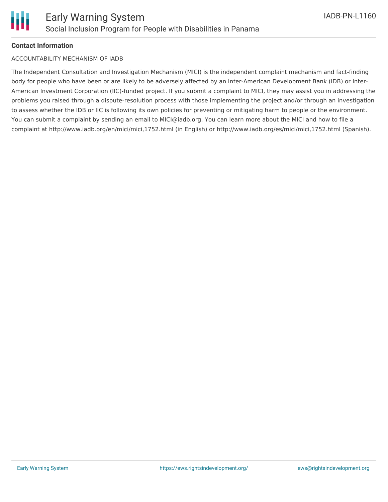#### **Contact Information**

#### ACCOUNTABILITY MECHANISM OF IADB

The Independent Consultation and Investigation Mechanism (MICI) is the independent complaint mechanism and fact-finding body for people who have been or are likely to be adversely affected by an Inter-American Development Bank (IDB) or Inter-American Investment Corporation (IIC)-funded project. If you submit a complaint to MICI, they may assist you in addressing the problems you raised through a dispute-resolution process with those implementing the project and/or through an investigation to assess whether the IDB or IIC is following its own policies for preventing or mitigating harm to people or the environment. You can submit a complaint by sending an email to MICI@iadb.org. You can learn more about the MICI and how to file a complaint at http://www.iadb.org/en/mici/mici,1752.html (in English) or http://www.iadb.org/es/mici/mici,1752.html (Spanish).